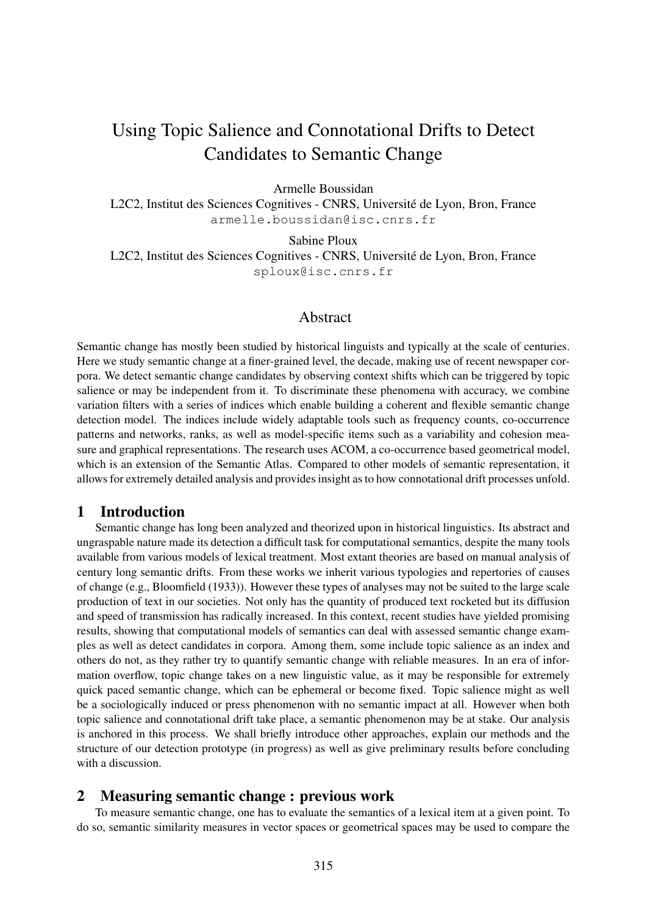# Using Topic Salience and Connotational Drifts to Detect Candidates to Semantic Change

Armelle Boussidan

L2C2, Institut des Sciences Cognitives - CNRS, Université de Lyon, Bron, France armelle.boussidan@isc.cnrs.fr

Sabine Ploux

L2C2, Institut des Sciences Cognitives - CNRS, Université de Lyon, Bron, France sploux@isc.cnrs.fr

# Abstract

Semantic change has mostly been studied by historical linguists and typically at the scale of centuries. Here we study semantic change at a finer-grained level, the decade, making use of recent newspaper corpora. We detect semantic change candidates by observing context shifts which can be triggered by topic salience or may be independent from it. To discriminate these phenomena with accuracy, we combine variation filters with a series of indices which enable building a coherent and flexible semantic change detection model. The indices include widely adaptable tools such as frequency counts, co-occurrence patterns and networks, ranks, as well as model-specific items such as a variability and cohesion measure and graphical representations. The research uses ACOM, a co-occurrence based geometrical model, which is an extension of the Semantic Atlas. Compared to other models of semantic representation, it allows for extremely detailed analysis and provides insight as to how connotational drift processes unfold.

# 1 Introduction

Semantic change has long been analyzed and theorized upon in historical linguistics. Its abstract and ungraspable nature made its detection a difficult task for computational semantics, despite the many tools available from various models of lexical treatment. Most extant theories are based on manual analysis of century long semantic drifts. From these works we inherit various typologies and repertories of causes of change (e.g., Bloomfield (1933)). However these types of analyses may not be suited to the large scale production of text in our societies. Not only has the quantity of produced text rocketed but its diffusion and speed of transmission has radically increased. In this context, recent studies have yielded promising results, showing that computational models of semantics can deal with assessed semantic change examples as well as detect candidates in corpora. Among them, some include topic salience as an index and others do not, as they rather try to quantify semantic change with reliable measures. In an era of information overflow, topic change takes on a new linguistic value, as it may be responsible for extremely quick paced semantic change, which can be ephemeral or become fixed. Topic salience might as well be a sociologically induced or press phenomenon with no semantic impact at all. However when both topic salience and connotational drift take place, a semantic phenomenon may be at stake. Our analysis is anchored in this process. We shall briefly introduce other approaches, explain our methods and the structure of our detection prototype (in progress) as well as give preliminary results before concluding with a discussion.

# 2 Measuring semantic change : previous work

To measure semantic change, one has to evaluate the semantics of a lexical item at a given point. To do so, semantic similarity measures in vector spaces or geometrical spaces may be used to compare the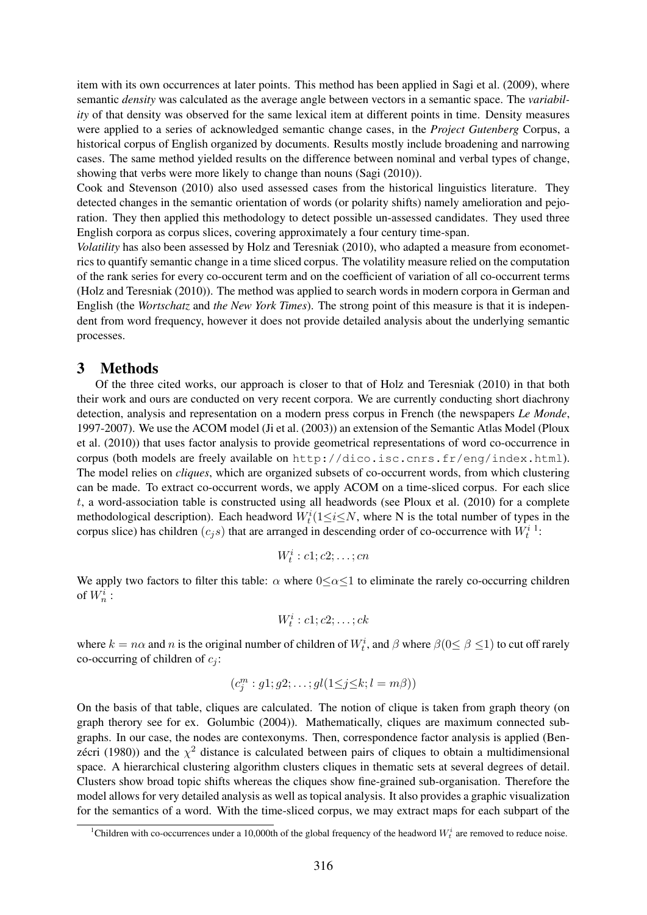item with its own occurrences at later points. This method has been applied in Sagi et al. (2009), where semantic *density* was calculated as the average angle between vectors in a semantic space. The *variability* of that density was observed for the same lexical item at different points in time. Density measures were applied to a series of acknowledged semantic change cases, in the *Project Gutenberg* Corpus, a historical corpus of English organized by documents. Results mostly include broadening and narrowing cases. The same method yielded results on the difference between nominal and verbal types of change, showing that verbs were more likely to change than nouns (Sagi (2010)).

Cook and Stevenson (2010) also used assessed cases from the historical linguistics literature. They detected changes in the semantic orientation of words (or polarity shifts) namely amelioration and pejoration. They then applied this methodology to detect possible un-assessed candidates. They used three English corpora as corpus slices, covering approximately a four century time-span.

*Volatility* has also been assessed by Holz and Teresniak (2010), who adapted a measure from econometrics to quantify semantic change in a time sliced corpus. The volatility measure relied on the computation of the rank series for every co-occurent term and on the coefficient of variation of all co-occurrent terms (Holz and Teresniak (2010)). The method was applied to search words in modern corpora in German and English (the *Wortschatz* and *the New York Times*). The strong point of this measure is that it is independent from word frequency, however it does not provide detailed analysis about the underlying semantic processes.

## 3 Methods

Of the three cited works, our approach is closer to that of Holz and Teresniak (2010) in that both their work and ours are conducted on very recent corpora. We are currently conducting short diachrony detection, analysis and representation on a modern press corpus in French (the newspapers *Le Monde*, 1997-2007). We use the ACOM model (Ji et al. (2003)) an extension of the Semantic Atlas Model (Ploux et al. (2010)) that uses factor analysis to provide geometrical representations of word co-occurrence in corpus (both models are freely available on http://dico.isc.cnrs.fr/eng/index.html). The model relies on *cliques*, which are organized subsets of co-occurrent words, from which clustering can be made. To extract co-occurrent words, we apply ACOM on a time-sliced corpus. For each slice t, a word-association table is constructed using all headwords (see Ploux et al. (2010) for a complete methodological description). Each headword  $W_t^i(1 \leq i \leq N$ , where N is the total number of types in the corpus slice) has children  $(c_j s)$  that are arranged in descending order of co-occurrence with  $W_t^{i-1}$ :

$$
W_t^i : c1; c2; \ldots; cn
$$

We apply two factors to filter this table:  $\alpha$  where  $0 \leq \alpha \leq 1$  to eliminate the rarely co-occurring children of  $W_n^i$  :

$$
W_t^i : c1; c2; \ldots; ck
$$

where  $k = n\alpha$  and n is the original number of children of  $W_t^i$ , and  $\beta$  where  $\beta(0 \le \beta \le 1)$  to cut off rarely co-occurring of children of  $c_i$ :

$$
(c_j^m: g1; g2; \ldots; gl(1 \leq j \leq k; l = m\beta))
$$

On the basis of that table, cliques are calculated. The notion of clique is taken from graph theory (on graph therory see for ex. Golumbic (2004)). Mathematically, cliques are maximum connected subgraphs. In our case, the nodes are contexonyms. Then, correspondence factor analysis is applied (Benzécri (1980)) and the  $\chi^2$  distance is calculated between pairs of cliques to obtain a multidimensional space. A hierarchical clustering algorithm clusters cliques in thematic sets at several degrees of detail. Clusters show broad topic shifts whereas the cliques show fine-grained sub-organisation. Therefore the model allows for very detailed analysis as well as topical analysis. It also provides a graphic visualization for the semantics of a word. With the time-sliced corpus, we may extract maps for each subpart of the

<sup>&</sup>lt;sup>1</sup>Children with co-occurrences under a 10,000th of the global frequency of the headword  $W_t^i$  are removed to reduce noise.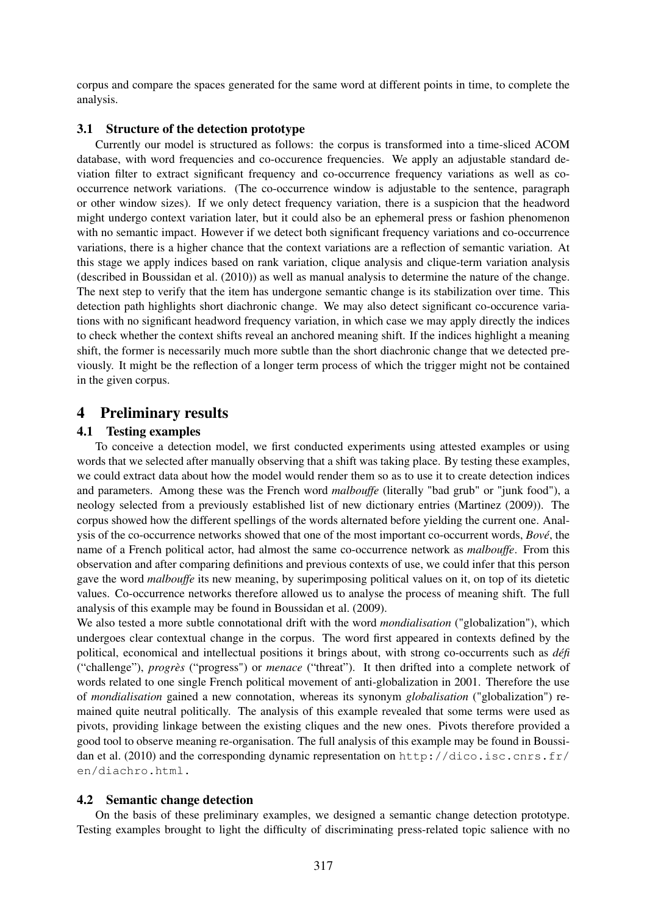corpus and compare the spaces generated for the same word at different points in time, to complete the analysis.

### 3.1 Structure of the detection prototype

Currently our model is structured as follows: the corpus is transformed into a time-sliced ACOM database, with word frequencies and co-occurence frequencies. We apply an adjustable standard deviation filter to extract significant frequency and co-occurrence frequency variations as well as cooccurrence network variations. (The co-occurrence window is adjustable to the sentence, paragraph or other window sizes). If we only detect frequency variation, there is a suspicion that the headword might undergo context variation later, but it could also be an ephemeral press or fashion phenomenon with no semantic impact. However if we detect both significant frequency variations and co-occurrence variations, there is a higher chance that the context variations are a reflection of semantic variation. At this stage we apply indices based on rank variation, clique analysis and clique-term variation analysis (described in Boussidan et al. (2010)) as well as manual analysis to determine the nature of the change. The next step to verify that the item has undergone semantic change is its stabilization over time. This detection path highlights short diachronic change. We may also detect significant co-occurence variations with no significant headword frequency variation, in which case we may apply directly the indices to check whether the context shifts reveal an anchored meaning shift. If the indices highlight a meaning shift, the former is necessarily much more subtle than the short diachronic change that we detected previously. It might be the reflection of a longer term process of which the trigger might not be contained in the given corpus.

# 4 Preliminary results

### 4.1 Testing examples

To conceive a detection model, we first conducted experiments using attested examples or using words that we selected after manually observing that a shift was taking place. By testing these examples, we could extract data about how the model would render them so as to use it to create detection indices and parameters. Among these was the French word *malbouffe* (literally "bad grub" or "junk food"), a neology selected from a previously established list of new dictionary entries (Martinez (2009)). The corpus showed how the different spellings of the words alternated before yielding the current one. Analysis of the co-occurrence networks showed that one of the most important co-occurrent words, *Bové*, the name of a French political actor, had almost the same co-occurrence network as *malbouffe*. From this observation and after comparing definitions and previous contexts of use, we could infer that this person gave the word *malbouffe* its new meaning, by superimposing political values on it, on top of its dietetic values. Co-occurrence networks therefore allowed us to analyse the process of meaning shift. The full analysis of this example may be found in Boussidan et al. (2009).

We also tested a more subtle connotational drift with the word *mondialisation* ("globalization"), which undergoes clear contextual change in the corpus. The word first appeared in contexts defined by the political, economical and intellectual positions it brings about, with strong co-occurrents such as *défi* ("challenge"), *progrès* ("progress") or *menace* ("threat"). It then drifted into a complete network of words related to one single French political movement of anti-globalization in 2001. Therefore the use of *mondialisation* gained a new connotation, whereas its synonym *globalisation* ("globalization") remained quite neutral politically. The analysis of this example revealed that some terms were used as pivots, providing linkage between the existing cliques and the new ones. Pivots therefore provided a good tool to observe meaning re-organisation. The full analysis of this example may be found in Boussidan et al. (2010) and the corresponding dynamic representation on http://dico.isc.cnrs.fr/ en/diachro.html.

### 4.2 Semantic change detection

On the basis of these preliminary examples, we designed a semantic change detection prototype. Testing examples brought to light the difficulty of discriminating press-related topic salience with no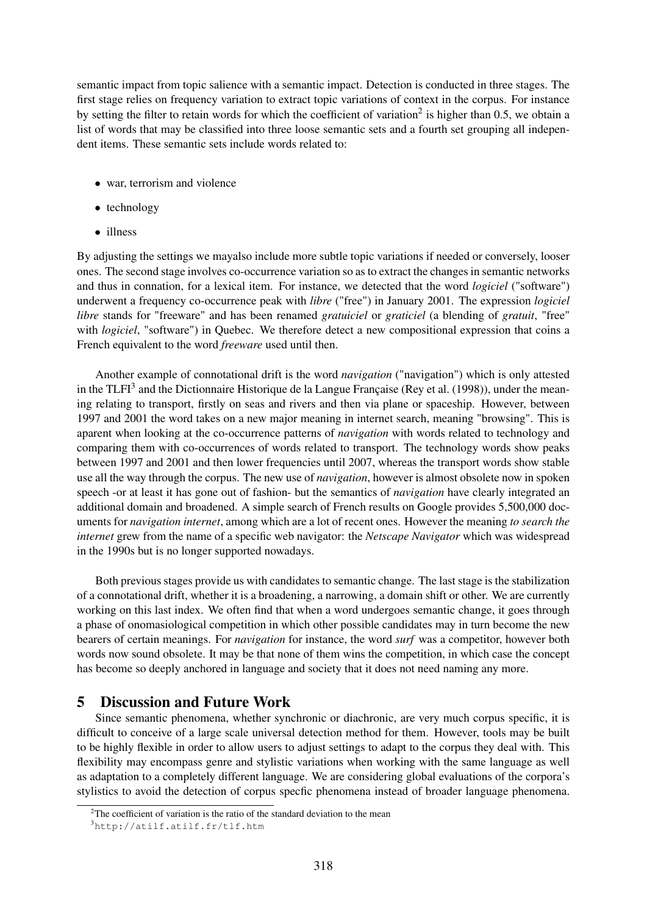semantic impact from topic salience with a semantic impact. Detection is conducted in three stages. The first stage relies on frequency variation to extract topic variations of context in the corpus. For instance by setting the filter to retain words for which the coefficient of variation<sup>2</sup> is higher than 0.5, we obtain a list of words that may be classified into three loose semantic sets and a fourth set grouping all independent items. These semantic sets include words related to:

- war, terrorism and violence
- technology
- illness

By adjusting the settings we mayalso include more subtle topic variations if needed or conversely, looser ones. The second stage involves co-occurrence variation so as to extract the changes in semantic networks and thus in connation, for a lexical item. For instance, we detected that the word *logiciel* ("software") underwent a frequency co-occurrence peak with *libre* ("free") in January 2001. The expression *logiciel libre* stands for "freeware" and has been renamed *gratuiciel* or *graticiel* (a blending of *gratuit*, "free" with *logiciel*, "software") in Quebec. We therefore detect a new compositional expression that coins a French equivalent to the word *freeware* used until then.

Another example of connotational drift is the word *navigation* ("navigation") which is only attested in the TLFI<sup>3</sup> and the Dictionnaire Historique de la Langue Française (Rey et al. (1998)), under the meaning relating to transport, firstly on seas and rivers and then via plane or spaceship. However, between 1997 and 2001 the word takes on a new major meaning in internet search, meaning "browsing". This is aparent when looking at the co-occurrence patterns of *navigation* with words related to technology and comparing them with co-occurrences of words related to transport. The technology words show peaks between 1997 and 2001 and then lower frequencies until 2007, whereas the transport words show stable use all the way through the corpus. The new use of *navigation*, however is almost obsolete now in spoken speech -or at least it has gone out of fashion- but the semantics of *navigation* have clearly integrated an additional domain and broadened. A simple search of French results on Google provides 5,500,000 documents for *navigation internet*, among which are a lot of recent ones. However the meaning *to search the internet* grew from the name of a specific web navigator: the *Netscape Navigator* which was widespread in the 1990s but is no longer supported nowadays.

Both previous stages provide us with candidates to semantic change. The last stage is the stabilization of a connotational drift, whether it is a broadening, a narrowing, a domain shift or other. We are currently working on this last index. We often find that when a word undergoes semantic change, it goes through a phase of onomasiological competition in which other possible candidates may in turn become the new bearers of certain meanings. For *navigation* for instance, the word *surf* was a competitor, however both words now sound obsolete. It may be that none of them wins the competition, in which case the concept has become so deeply anchored in language and society that it does not need naming any more.

# 5 Discussion and Future Work

Since semantic phenomena, whether synchronic or diachronic, are very much corpus specific, it is difficult to conceive of a large scale universal detection method for them. However, tools may be built to be highly flexible in order to allow users to adjust settings to adapt to the corpus they deal with. This flexibility may encompass genre and stylistic variations when working with the same language as well as adaptation to a completely different language. We are considering global evaluations of the corpora's stylistics to avoid the detection of corpus specfic phenomena instead of broader language phenomena.

<sup>&</sup>lt;sup>2</sup>The coefficient of variation is the ratio of the standard deviation to the mean

<sup>3</sup>http://atilf.atilf.fr/tlf.htm